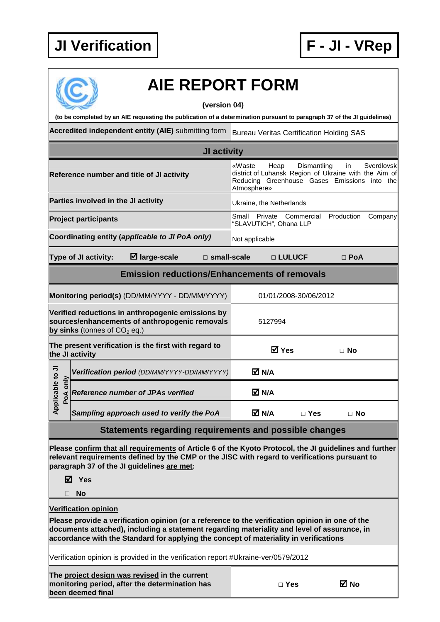

# **AIE REPORT FORM**

### **(version 04)**

**(to be completed by an AIE requesting the publication of a determination pursuant to paragraph 37 of the JI guidelines)** 

**Accredited independent entity (AIE)** submitting form Bureau Veritas Certification Holding SAS

|                                                     |                                                                                                                                       |                                                                                   | JI activity           |                                                                                                                                                                                           |            |            |           |  |  |
|-----------------------------------------------------|---------------------------------------------------------------------------------------------------------------------------------------|-----------------------------------------------------------------------------------|-----------------------|-------------------------------------------------------------------------------------------------------------------------------------------------------------------------------------------|------------|------------|-----------|--|--|
| Reference number and title of JI activity           |                                                                                                                                       |                                                                                   |                       | «Waste<br>Heap<br>Dismantling<br><b>Sverdlovsk</b><br>in.<br>district of Luhansk Region of Ukraine with the Aim of<br>Reducing Greenhouse Gases Emissions into the<br><b>Atmosphere</b> » |            |            |           |  |  |
|                                                     | Parties involved in the JI activity                                                                                                   | Ukraine, the Netherlands                                                          |                       |                                                                                                                                                                                           |            |            |           |  |  |
|                                                     | <b>Project participants</b>                                                                                                           | Private<br>Commercial<br>Small<br>Production<br>Company<br>"SLAVUTICH", Ohana LLP |                       |                                                                                                                                                                                           |            |            |           |  |  |
| Coordinating entity (applicable to JI PoA only)     |                                                                                                                                       |                                                                                   |                       | Not applicable                                                                                                                                                                            |            |            |           |  |  |
|                                                     | Type of JI activity:                                                                                                                  | $\square$ small-scale                                                             | □ LULUCF              |                                                                                                                                                                                           | $\Box$ PoA |            |           |  |  |
| <b>Emission reductions/Enhancements of removals</b> |                                                                                                                                       |                                                                                   |                       |                                                                                                                                                                                           |            |            |           |  |  |
| Monitoring period(s) (DD/MM/YYYY - DD/MM/YYYY)      |                                                                                                                                       |                                                                                   | 01/01/2008-30/06/2012 |                                                                                                                                                                                           |            |            |           |  |  |
|                                                     | Verified reductions in anthropogenic emissions by<br>sources/enhancements of anthropogenic removals<br>by sinks (tonnes of $CO2$ eq.) |                                                                                   | 5127994               |                                                                                                                                                                                           |            |            |           |  |  |
|                                                     | The present verification is the first with regard to<br>the JI activity                                                               |                                                                                   | <b>⊠</b> Yes          |                                                                                                                                                                                           | $\Box$ No  |            |           |  |  |
| Applicable to JI<br>PoA only                        | Verification period (DD/MM/YYYY-DD/MM/YYYY)                                                                                           |                                                                                   |                       | M N/A                                                                                                                                                                                     |            |            |           |  |  |
|                                                     | <b>Reference number of JPAs verified</b>                                                                                              |                                                                                   |                       | M N/A                                                                                                                                                                                     |            |            |           |  |  |
|                                                     |                                                                                                                                       | Sampling approach used to verify the PoA                                          |                       | M N/A                                                                                                                                                                                     |            | $\Box$ Yes | $\Box$ No |  |  |

## **Statements regarding requirements and possible changes**

**Please confirm that all requirements of Article 6 of the Kyoto Protocol, the JI guidelines and further relevant requirements defined by the CMP or the JISC with regard to verifications pursuant to paragraph 37 of the JI guidelines are met:** 

**Yes** 

**No** 

**Verification opinion**

**Please provide a verification opinion (or a reference to the verification opinion in one of the documents attached), including a statement regarding materiality and level of assurance, in accordance with the Standard for applying the concept of materiality in verifications** 

Verification opinion is provided in the verification report #Ukraine-ver/0579/2012

**The project design was revised in the current monitoring period, after the determination has been deemed final** 

| ×<br>w<br>۰.<br>v |
|-------------------|
|-------------------|

**□ Yes No**